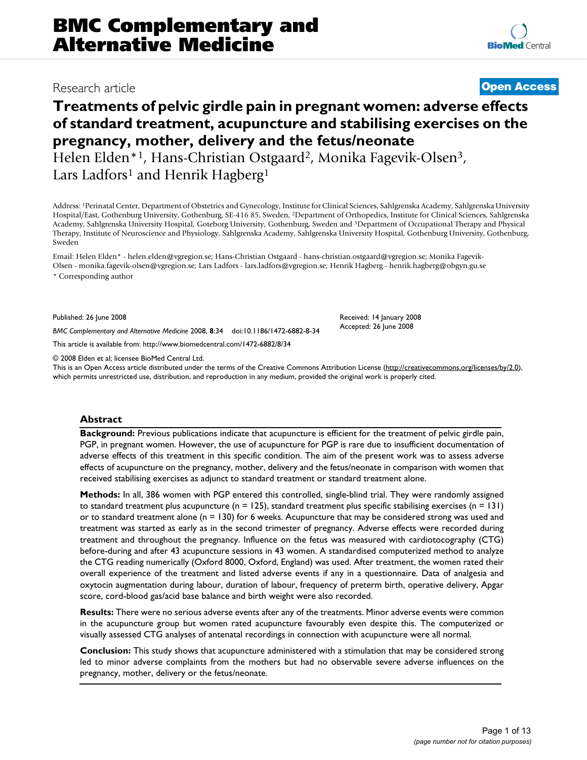# Research article **[Open Access](http://www.biomedcentral.com/info/about/charter/)**

# **Treatments of pelvic girdle pain in pregnant women: adverse effects of standard treatment, acupuncture and stabilising exercises on the pregnancy, mother, delivery and the fetus/neonate**

Helen Elden\*1, Hans-Christian Ostgaard2, Monika Fagevik-Olsen3, Lars Ladfors<sup>1</sup> and Henrik Hagberg<sup>1</sup>

Address: 1Perinatal Center, Department of Obstetrics and Gynecology, Institute for Clinical Sciences, Sahlgrenska Academy, Sahlgrenska University Hospital/East, Gothenburg University, Gothenburg, SE-416 85, Sweden, 2Department of Orthopedics, Institute for Clinical Sciences, Sahlgrenska Academy, Sahlgrenska University Hospital, Goteborg University, Gothenburg, Sweden and 3Department of Occupational Therapy and Physical Therapy, Institute of Neuroscience and Physiology, Sahlgrenska Academy, Sahlgrenska University Hospital, Gothenburg University, Gothenburg, Sweden

Email: Helen Elden\* - helen.elden@vgregion.se; Hans-Christian Ostgaard - hans-christian.ostgaard@vgregion.se; Monika Fagevik-Olsen - monika.fagevik-olsen@vgregion.se; Lars Ladfors - lars.ladfors@vgregion.se; Henrik Hagberg - henrik.hagberg@obgyn.gu.se \* Corresponding author

Published: 26 June 2008

*BMC Complementary and Alternative Medicine* 2008, **8**:34 doi:10.1186/1472-6882-8-34

[This article is available from: http://www.biomedcentral.com/1472-6882/8/34](http://www.biomedcentral.com/1472-6882/8/34)

© 2008 Elden et al; licensee BioMed Central Ltd.

This is an Open Access article distributed under the terms of the Creative Commons Attribution License [\(http://creativecommons.org/licenses/by/2.0\)](http://creativecommons.org/licenses/by/2.0), which permits unrestricted use, distribution, and reproduction in any medium, provided the original work is properly cited.

Received: 14 January 2008 Accepted: 26 June 2008

# **Abstract**

**Background:** Previous publications indicate that acupuncture is efficient for the treatment of pelvic girdle pain, PGP, in pregnant women. However, the use of acupuncture for PGP is rare due to insufficient documentation of adverse effects of this treatment in this specific condition. The aim of the present work was to assess adverse effects of acupuncture on the pregnancy, mother, delivery and the fetus/neonate in comparison with women that received stabilising exercises as adjunct to standard treatment or standard treatment alone.

**Methods:** In all, 386 women with PGP entered this controlled, single-blind trial. They were randomly assigned to standard treatment plus acupuncture ( $n = 125$ ), standard treatment plus specific stabilising exercises ( $n = 131$ ) or to standard treatment alone ( $n = 130$ ) for 6 weeks. Acupuncture that may be considered strong was used and treatment was started as early as in the second trimester of pregnancy. Adverse effects were recorded during treatment and throughout the pregnancy. Influence on the fetus was measured with cardiotocography (CTG) before-during and after 43 acupuncture sessions in 43 women. A standardised computerized method to analyze the CTG reading numerically (Oxford 8000, Oxford, England) was used. After treatment, the women rated their overall experience of the treatment and listed adverse events if any in a questionnaire. Data of analgesia and oxytocin augmentation during labour, duration of labour, frequency of preterm birth, operative delivery, Apgar score, cord-blood gas/acid base balance and birth weight were also recorded.

**Results:** There were no serious adverse events after any of the treatments. Minor adverse events were common in the acupuncture group but women rated acupuncture favourably even despite this. The computerized or visually assessed CTG analyses of antenatal recordings in connection with acupuncture were all normal.

**Conclusion:** This study shows that acupuncture administered with a stimulation that may be considered strong led to minor adverse complaints from the mothers but had no observable severe adverse influences on the pregnancy, mother, delivery or the fetus/neonate.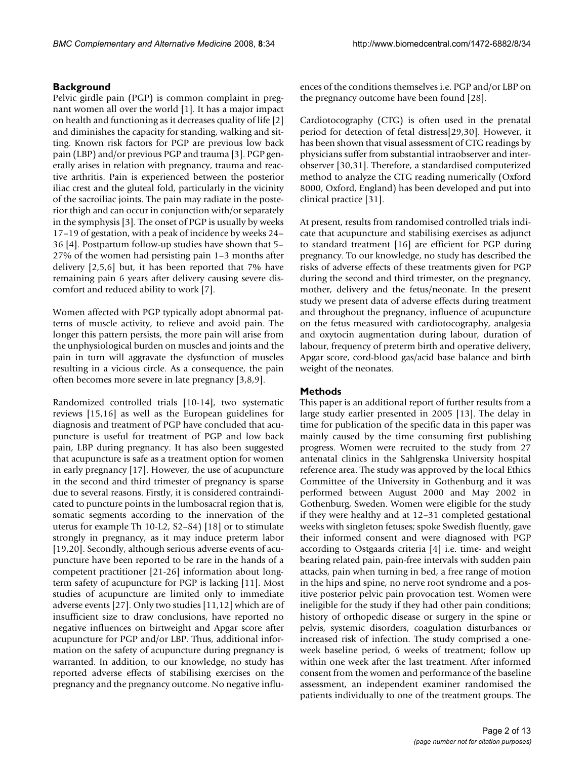# **Background**

Pelvic girdle pain (PGP) is common complaint in pregnant women all over the world [1]. It has a major impact on health and functioning as it decreases quality of life [2] and diminishes the capacity for standing, walking and sitting. Known risk factors for PGP are previous low back pain (LBP) and/or previous PGP and trauma [3]. PGP generally arises in relation with pregnancy, trauma and reactive arthritis. Pain is experienced between the posterior iliac crest and the gluteal fold, particularly in the vicinity of the sacroiliac joints. The pain may radiate in the posterior thigh and can occur in conjunction with/or separately in the symphysis [3]. The onset of PGP is usually by weeks 17–19 of gestation, with a peak of incidence by weeks 24– 36 [4]. Postpartum follow-up studies have shown that 5– 27% of the women had persisting pain 1–3 months after delivery [2,5,6] but, it has been reported that 7% have remaining pain 6 years after delivery causing severe discomfort and reduced ability to work [7].

Women affected with PGP typically adopt abnormal patterns of muscle activity, to relieve and avoid pain. The longer this pattern persists, the more pain will arise from the unphysiological burden on muscles and joints and the pain in turn will aggravate the dysfunction of muscles resulting in a vicious circle. As a consequence, the pain often becomes more severe in late pregnancy [3,8,9].

Randomized controlled trials [10-14], two systematic reviews [15,16] as well as the European guidelines for diagnosis and treatment of PGP have concluded that acupuncture is useful for treatment of PGP and low back pain, LBP during pregnancy. It has also been suggested that acupuncture is safe as a treatment option for women in early pregnancy [17]. However, the use of acupuncture in the second and third trimester of pregnancy is sparse due to several reasons. Firstly, it is considered contraindicated to puncture points in the lumbosacral region that is, somatic segments according to the innervation of the uterus for example Th 10-L2, S2–S4) [18] or to stimulate strongly in pregnancy, as it may induce preterm labor [19,20]. Secondly, although serious adverse events of acupuncture have been reported to be rare in the hands of a competent practitioner [21-26] information about longterm safety of acupuncture for PGP is lacking [11]. Most studies of acupuncture are limited only to immediate adverse events [27]. Only two studies [11,12] which are of insufficient size to draw conclusions, have reported no negative influences on birtweight and Apgar score after acupuncture for PGP and/or LBP. Thus, additional information on the safety of acupuncture during pregnancy is warranted. In addition, to our knowledge, no study has reported adverse effects of stabilising exercises on the pregnancy and the pregnancy outcome. No negative influences of the conditions themselves i.e. PGP and/or LBP on the pregnancy outcome have been found [28].

Cardiotocography (CTG) is often used in the prenatal period for detection of fetal distress[29,30]. However, it has been shown that visual assessment of CTG readings by physicians suffer from substantial intraobserver and interobserver [30,31]. Therefore, a standardised computerized method to analyze the CTG reading numerically (Oxford 8000, Oxford, England) has been developed and put into clinical practice [31].

At present, results from randomised controlled trials indicate that acupuncture and stabilising exercises as adjunct to standard treatment [16] are efficient for PGP during pregnancy. To our knowledge, no study has described the risks of adverse effects of these treatments given for PGP during the second and third trimester, on the pregnancy, mother, delivery and the fetus/neonate. In the present study we present data of adverse effects during treatment and throughout the pregnancy, influence of acupuncture on the fetus measured with cardiotocography, analgesia and oxytocin augmentation during labour, duration of labour, frequency of preterm birth and operative delivery, Apgar score, cord-blood gas/acid base balance and birth weight of the neonates.

# **Methods**

This paper is an additional report of further results from a large study earlier presented in 2005 [13]. The delay in time for publication of the specific data in this paper was mainly caused by the time consuming first publishing progress. Women were recruited to the study from 27 antenatal clinics in the Sahlgrenska University hospital reference area. The study was approved by the local Ethics Committee of the University in Gothenburg and it was performed between August 2000 and May 2002 in Gothenburg, Sweden. Women were eligible for the study if they were healthy and at 12–31 completed gestational weeks with singleton fetuses; spoke Swedish fluently, gave their informed consent and were diagnosed with PGP according to Ostgaards criteria [4] i.e. time- and weight bearing related pain, pain-free intervals with sudden pain attacks, pain when turning in bed, a free range of motion in the hips and spine, no nerve root syndrome and a positive posterior pelvic pain provocation test. Women were ineligible for the study if they had other pain conditions; history of orthopedic disease or surgery in the spine or pelvis, systemic disorders, coagulation disturbances or increased risk of infection. The study comprised a oneweek baseline period, 6 weeks of treatment; follow up within one week after the last treatment. After informed consent from the women and performance of the baseline assessment, an independent examiner randomised the patients individually to one of the treatment groups. The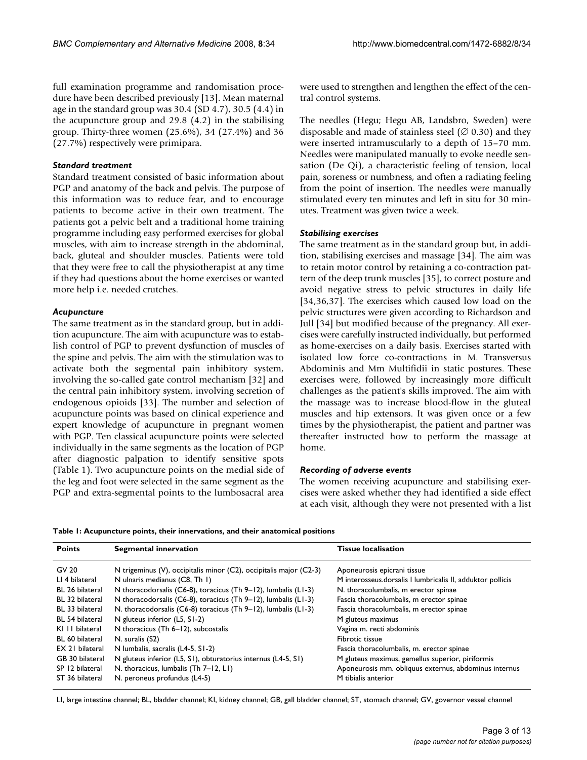full examination programme and randomisation procedure have been described previously [13]. Mean maternal age in the standard group was 30.4 (SD 4.7), 30.5 (4.4) in the acupuncture group and 29.8 (4.2) in the stabilising group. Thirty-three women (25.6%), 34 (27.4%) and 36 (27.7%) respectively were primipara.

#### *Standard treatment*

Standard treatment consisted of basic information about PGP and anatomy of the back and pelvis. The purpose of this information was to reduce fear, and to encourage patients to become active in their own treatment. The patients got a pelvic belt and a traditional home training programme including easy performed exercises for global muscles, with aim to increase strength in the abdominal, back, gluteal and shoulder muscles. Patients were told that they were free to call the physiotherapist at any time if they had questions about the home exercises or wanted more help i.e. needed crutches.

#### *Acupuncture*

The same treatment as in the standard group, but in addition acupuncture. The aim with acupuncture was to establish control of PGP to prevent dysfunction of muscles of the spine and pelvis. The aim with the stimulation was to activate both the segmental pain inhibitory system, involving the so-called gate control mechanism [32] and the central pain inhibitory system, involving secretion of endogenous opioids [33]. The number and selection of acupuncture points was based on clinical experience and expert knowledge of acupuncture in pregnant women with PGP. Ten classical acupuncture points were selected individually in the same segments as the location of PGP after diagnostic palpation to identify sensitive spots (Table 1). Two acupuncture points on the medial side of the leg and foot were selected in the same segment as the PGP and extra-segmental points to the lumbosacral area

were used to strengthen and lengthen the effect of the central control systems.

The needles (Hegu; Hegu AB, Landsbro, Sweden) were disposable and made of stainless steel ( $\varnothing$  0.30) and they were inserted intramuscularly to a depth of 15–70 mm. Needles were manipulated manually to evoke needle sensation (De Qi), a characteristic feeling of tension, local pain, soreness or numbness, and often a radiating feeling from the point of insertion. The needles were manually stimulated every ten minutes and left in situ for 30 minutes. Treatment was given twice a week.

### *Stabilising exercises*

The same treatment as in the standard group but, in addition, stabilising exercises and massage [34]. The aim was to retain motor control by retaining a co-contraction pattern of the deep trunk muscles [35], to correct posture and avoid negative stress to pelvic structures in daily life [34,36,37]. The exercises which caused low load on the pelvic structures were given according to Richardson and Jull [34] but modified because of the pregnancy. All exercises were carefully instructed individually, but performed as home-exercises on a daily basis. Exercises started with isolated low force co-contractions in M. Transversus Abdominis and Mm Multifidii in static postures. These exercises were, followed by increasingly more difficult challenges as the patient's skills improved. The aim with the massage was to increase blood-flow in the gluteal muscles and hip extensors. It was given once or a few times by the physiotherapist, the patient and partner was thereafter instructed how to perform the massage at home.

#### *Recording of adverse events*

The women receiving acupuncture and stabilising exercises were asked whether they had identified a side effect at each visit, although they were not presented with a list

|  | Table 1: Acupuncture points, their innervations, and their anatomical positions |  |  |  |  |  |
|--|---------------------------------------------------------------------------------|--|--|--|--|--|
|--|---------------------------------------------------------------------------------|--|--|--|--|--|

| <b>Points</b>    | Segmental innervation                                              | <b>Tissue localisation</b>                                 |
|------------------|--------------------------------------------------------------------|------------------------------------------------------------|
| GV 20            | N trigeminus (V), occipitalis minor (C2), occipitalis major (C2-3) | Aponeurosis epicrani tissue                                |
| LI 4 bilateral   | N ulnaris medianus (C8, Th 1)                                      | M interosseus.dorsalis I lumbricalis II, adduktor pollicis |
| BL 26 bilateral  | N thoracodorsalis (C6-8), toracicus (Th 9-12), lumbalis (L1-3)     | N. thoracolumbalis, m erector spinae                       |
| BL 32 bilateral  | N thoracodorsalis (C6-8), toracicus (Th 9-12), lumbalis (L1-3)     | Fascia thoracolumbalis, m erector spinae                   |
| BL 33 bilateral  | N. thoracodorsalis (C6-8) toracicus (Th 9-12), lumbalis (L1-3)     | Fascia thoracolumbalis, m erector spinae                   |
| BL 54 bilateral  | N gluteus inferior (L5, S1-2)                                      | M gluteus maximus                                          |
| KI I I bilateral | N thoracicus (Th 6–12), subcostalis                                | Vagina m. recti abdominis                                  |
| BL 60 bilateral  | N. suralis (S2)                                                    | Fibrotic tissue                                            |
| EX 21 bilateral  | N lumbalis, sacralis (L4-5, S1-2)                                  | Fascia thoracolumbalis, m. erector spinae                  |
| GB 30 bilateral  | N gluteus inferior (L5, S1), obturatorius internus (L4-5, S1)      | M gluteus maximus, gemellus superior, piriformis           |
| SP 12 bilateral  | N. thoracicus, lumbalis (Th 7-12, L1)                              | Aponeurosis mm. obliquus externus, abdominus internus      |
| ST 36 bilateral  | N. peroneus profundus (L4-5)                                       | M tibialis anterior                                        |

LI, large intestine channel; BL, bladder channel; KI, kidney channel; GB, gall bladder channel; ST, stomach channel; GV, governor vessel channel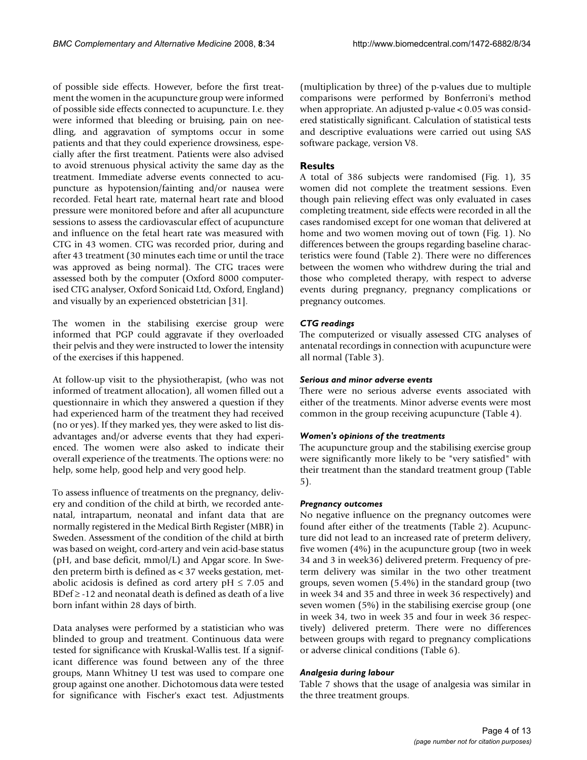of possible side effects. However, before the first treatment the women in the acupuncture group were informed of possible side effects connected to acupuncture. I.e. they were informed that bleeding or bruising, pain on needling, and aggravation of symptoms occur in some patients and that they could experience drowsiness, especially after the first treatment. Patients were also advised to avoid strenuous physical activity the same day as the treatment. Immediate adverse events connected to acupuncture as hypotension/fainting and/or nausea were recorded. Fetal heart rate, maternal heart rate and blood pressure were monitored before and after all acupuncture sessions to assess the cardiovascular effect of acupuncture and influence on the fetal heart rate was measured with CTG in 43 women. CTG was recorded prior, during and after 43 treatment (30 minutes each time or until the trace was approved as being normal). The CTG traces were assessed both by the computer (Oxford 8000 computerised CTG analyser, Oxford Sonicaid Ltd, Oxford, England) and visually by an experienced obstetrician [31].

The women in the stabilising exercise group were informed that PGP could aggravate if they overloaded their pelvis and they were instructed to lower the intensity of the exercises if this happened.

At follow-up visit to the physiotherapist, (who was not informed of treatment allocation), all women filled out a questionnaire in which they answered a question if they had experienced harm of the treatment they had received (no or yes). If they marked yes, they were asked to list disadvantages and/or adverse events that they had experienced. The women were also asked to indicate their overall experience of the treatments. The options were: no help, some help, good help and very good help.

To assess influence of treatments on the pregnancy, delivery and condition of the child at birth, we recorded antenatal, intrapartum, neonatal and infant data that are normally registered in the Medical Birth Register (MBR) in Sweden. Assessment of the condition of the child at birth was based on weight, cord-artery and vein acid-base status (pH, and base deficit, mmol/L) and Apgar score. In Sweden preterm birth is defined as < 37 weeks gestation, metabolic acidosis is defined as cord artery  $pH \le 7.05$  and BDef  $\ge$  -12 and neonatal death is defined as death of a live born infant within 28 days of birth.

Data analyses were performed by a statistician who was blinded to group and treatment. Continuous data were tested for significance with Kruskal-Wallis test. If a significant difference was found between any of the three groups, Mann Whitney U test was used to compare one group against one another. Dichotomous data were tested for significance with Fischer's exact test. Adjustments

(multiplication by three) of the p-values due to multiple comparisons were performed by Bonferroni's method when appropriate. An adjusted p-value < 0.05 was considered statistically significant. Calculation of statistical tests and descriptive evaluations were carried out using SAS software package, version V8.

# **Results**

A total of 386 subjects were randomised (Fig. 1), 35 women did not complete the treatment sessions. Even though pain relieving effect was only evaluated in cases completing treatment, side effects were recorded in all the cases randomised except for one woman that delivered at home and two women moving out of town (Fig. 1). No differences between the groups regarding baseline characteristics were found (Table 2). There were no differences between the women who withdrew during the trial and those who completed therapy, with respect to adverse events during pregnancy, pregnancy complications or pregnancy outcomes.

# *CTG readings*

The computerized or visually assessed CTG analyses of antenatal recordings in connection with acupuncture were all normal (Table 3).

# *Serious and minor adverse events*

There were no serious adverse events associated with either of the treatments. Minor adverse events were most common in the group receiving acupuncture (Table 4).

# *Women's opinions of the treatments*

The acupuncture group and the stabilising exercise group were significantly more likely to be "very satisfied" with their treatment than the standard treatment group (Table 5).

# *Pregnancy outcomes*

No negative influence on the pregnancy outcomes were found after either of the treatments (Table 2). Acupuncture did not lead to an increased rate of preterm delivery, five women (4%) in the acupuncture group (two in week 34 and 3 in week36) delivered preterm. Frequency of preterm delivery was similar in the two other treatment groups, seven women (5.4%) in the standard group (two in week 34 and 35 and three in week 36 respectively) and seven women (5%) in the stabilising exercise group (one in week 34, two in week 35 and four in week 36 respectively) delivered preterm. There were no differences between groups with regard to pregnancy complications or adverse clinical conditions (Table 6).

# *Analgesia during labour*

Table 7 shows that the usage of analgesia was similar in the three treatment groups.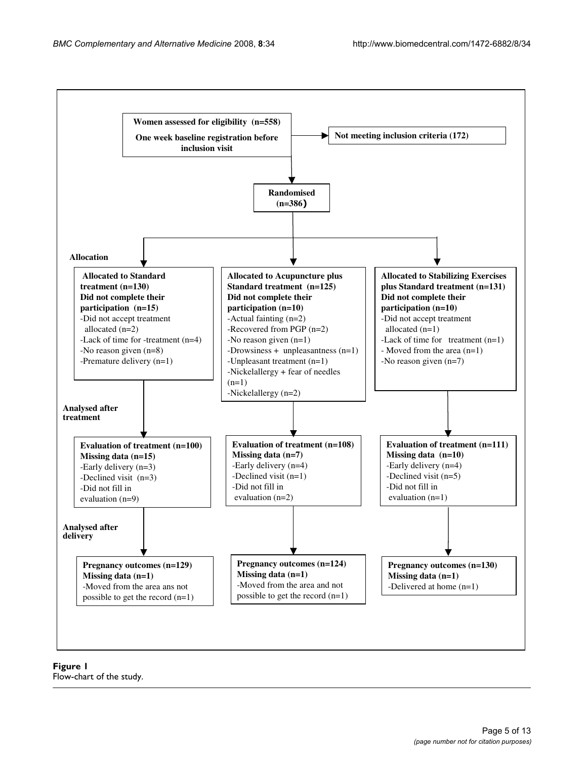

**Figure 1** Flow-chart of the study.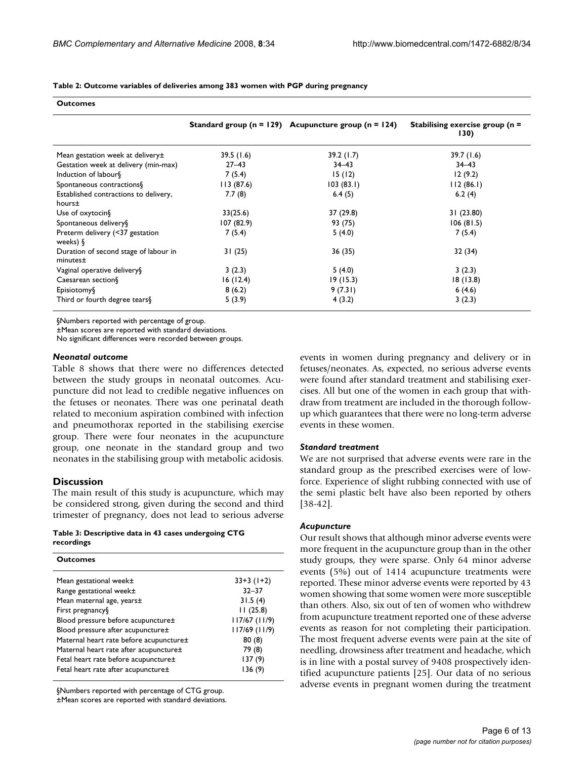| <b>Outcomes</b>                                    |           |                                                              |                                            |  |  |
|----------------------------------------------------|-----------|--------------------------------------------------------------|--------------------------------------------|--|--|
|                                                    |           | Standard group ( $n = 129$ ) Acupuncture group ( $n = 124$ ) | Stabilising exercise group ( $n =$<br>130) |  |  |
| Mean gestation week at delivery±                   | 39.5(1.6) | 39.2(1.7)                                                    | 39.7(1.6)                                  |  |  |
| Gestation week at delivery (min-max)               | $27 - 43$ | $34 - 43$                                                    | $34 - 43$                                  |  |  |
| Induction of labour§                               | 7(5.4)    | 15(12)                                                       | 12(9.2)                                    |  |  |
| Spontaneous contractions§                          | 113(87.6) | 103(83.1)                                                    | 112(86.1)                                  |  |  |
| Established contractions to delivery,<br>hours±    | 7.7(8)    | 6.4(5)                                                       | 6.2(4)                                     |  |  |
| Use of oxytocin§                                   | 33(25.6)  | 37 (29.8)                                                    | 31(23.80)                                  |  |  |
| Spontaneous delivery§                              | 107(82.9) | 93 (75)                                                      | 106(81.5)                                  |  |  |
| Preterm delivery (<37 gestation<br>weeks) $\delta$ | 7(5.4)    | 5(4.0)                                                       | 7(5.4)                                     |  |  |
| Duration of second stage of labour in<br>minutes±  | 31(25)    | 36 (35)                                                      | 32 (34)                                    |  |  |
| Vaginal operative delivery §                       | 3(2.3)    | 5(4.0)                                                       | 3(2.3)                                     |  |  |
| Caesarean section§                                 | 16(12.4)  | 19(15.3)                                                     | 18(13.8)                                   |  |  |
| Episiotomy                                         | 8(6.2)    | 9(7.31)                                                      | 6(4.6)                                     |  |  |
| Third or fourth degree tears §                     | 5(3.9)    | 4(3.2)                                                       | 3(2.3)                                     |  |  |

**Table 2: Outcome variables of deliveries among 383 women with PGP during pregnancy**

§Numbers reported with percentage of group.

±Mean scores are reported with standard deviations.

No significant differences were recorded between groups.

### *Neonatal outcome*

Table 8 shows that there were no differences detected between the study groups in neonatal outcomes. Acupuncture did not lead to credible negative influences on the fetuses or neonates. There was one perinatal death related to meconium aspiration combined with infection and pneumothorax reported in the stabilising exercise group. There were four neonates in the acupuncture group, one neonate in the standard group and two neonates in the stabilising group with metabolic acidosis.

#### **Discussion**

The main result of this study is acupuncture, which may be considered strong, given during the second and third trimester of pregnancy, does not lead to serious adverse

#### **Table 3: Descriptive data in 43 cases undergoing CTG recordings**

| <b>Outcomes</b>                         |                 |
|-----------------------------------------|-----------------|
| Mean gestational week±                  | $33+3(1+2)$     |
| Range gestational week±                 | $32 - 37$       |
| Mean maternal age, years±               | 31.5(4)         |
| First pregnancy §                       | 11(25.8)        |
| Blood pressure before acupuncture±      | $117/67$ (11/9) |
| Blood pressure after acupuncture±       | $117/69$ (11/9) |
| Maternal heart rate before acupuncture± | 80(8)           |
| Maternal heart rate after acupuncture±  | 79 (8)          |
| Fetal heart rate before acupuncture±    | 137 (9)         |
| Fetal heart rate after acupuncture±     | 136 (9)         |
|                                         |                 |

§Numbers reported with percentage of CTG group.

±Mean scores are reported with standard deviations.

events in women during pregnancy and delivery or in fetuses/neonates. As, expected, no serious adverse events were found after standard treatment and stabilising exercises. All but one of the women in each group that withdraw from treatment are included in the thorough followup which guarantees that there were no long-term adverse events in these women.

#### *Standard treatment*

We are not surprised that adverse events were rare in the standard group as the prescribed exercises were of lowforce. Experience of slight rubbing connected with use of the semi plastic belt have also been reported by others [38-42].

#### *Acupuncture*

Our result shows that although minor adverse events were more frequent in the acupuncture group than in the other study groups, they were sparse. Only 64 minor adverse events (5%) out of 1414 acupuncture treatments were reported. These minor adverse events were reported by 43 women showing that some women were more susceptible than others. Also, six out of ten of women who withdrew from acupuncture treatment reported one of these adverse events as reason for not completing their participation. The most frequent adverse events were pain at the site of needling, drowsiness after treatment and headache, which is in line with a postal survey of 9408 prospectively identified acupuncture patients [25]. Our data of no serious adverse events in pregnant women during the treatment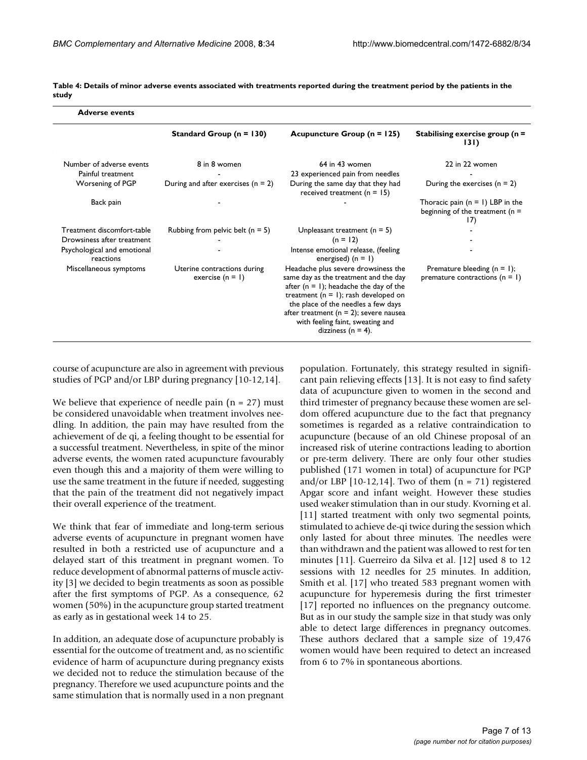| <b>Adverse events</b>                    |                                                   |                                                                                                                                                                                                                                                                                                                           |                                                                                 |
|------------------------------------------|---------------------------------------------------|---------------------------------------------------------------------------------------------------------------------------------------------------------------------------------------------------------------------------------------------------------------------------------------------------------------------------|---------------------------------------------------------------------------------|
|                                          | Standard Group ( $n = 130$ )                      | Acupuncture Group ( $n = 125$ )                                                                                                                                                                                                                                                                                           | Stabilising exercise group ( $n =$<br>131)                                      |
| Number of adverse events                 | 8 in 8 women                                      | 64 in 43 women                                                                                                                                                                                                                                                                                                            | 22 in 22 women                                                                  |
| Painful treatment                        |                                                   | 23 experienced pain from needles                                                                                                                                                                                                                                                                                          |                                                                                 |
| Worsening of PGP                         | During and after exercises ( $n = 2$ )            | During the same day that they had<br>received treatment ( $n = 15$ )                                                                                                                                                                                                                                                      | During the exercises $(n = 2)$                                                  |
| Back pain                                |                                                   |                                                                                                                                                                                                                                                                                                                           | Thoracic pain $(n = 1)$ LBP in the<br>beginning of the treatment ( $n =$<br>17) |
| Treatment discomfort-table               | Rubbing from pelvic belt ( $n = 5$ )              | Unpleasant treatment ( $n = 5$ )                                                                                                                                                                                                                                                                                          |                                                                                 |
| Drowsiness after treatment               |                                                   | $(n = 12)$                                                                                                                                                                                                                                                                                                                |                                                                                 |
| Psychological and emotional<br>reactions |                                                   | Intense emotional release, (feeling<br>energised) $(n = 1)$                                                                                                                                                                                                                                                               |                                                                                 |
| Miscellaneous symptoms                   | Uterine contractions during<br>exercise $(n = 1)$ | Headache plus severe drowsiness the<br>same day as the treatment and the day<br>after ( $n = 1$ ); headache the day of the<br>treatment ( $n = 1$ ); rash developed on<br>the place of the needles a few days<br>after treatment ( $n = 2$ ); severe nausea<br>with feeling faint, sweating and<br>dizziness ( $n = 4$ ). | Premature bleeding $(n = 1)$ ;<br>premature contractions ( $n = 1$ )            |

**Table 4: Details of minor adverse events associated with treatments reported during the treatment period by the patients in the study**

course of acupuncture are also in agreement with previous studies of PGP and/or LBP during pregnancy [10-12,14].

We believe that experience of needle pain  $(n = 27)$  must be considered unavoidable when treatment involves needling. In addition, the pain may have resulted from the achievement of de qi, a feeling thought to be essential for a successful treatment. Nevertheless, in spite of the minor adverse events, the women rated acupuncture favourably even though this and a majority of them were willing to use the same treatment in the future if needed, suggesting that the pain of the treatment did not negatively impact their overall experience of the treatment.

We think that fear of immediate and long-term serious adverse events of acupuncture in pregnant women have resulted in both a restricted use of acupuncture and a delayed start of this treatment in pregnant women. To reduce development of abnormal patterns of muscle activity [3] we decided to begin treatments as soon as possible after the first symptoms of PGP. As a consequence, 62 women (50%) in the acupuncture group started treatment as early as in gestational week 14 to 25.

In addition, an adequate dose of acupuncture probably is essential for the outcome of treatment and, as no scientific evidence of harm of acupuncture during pregnancy exists we decided not to reduce the stimulation because of the pregnancy. Therefore we used acupuncture points and the same stimulation that is normally used in a non pregnant

population. Fortunately, this strategy resulted in significant pain relieving effects [13]. It is not easy to find safety data of acupuncture given to women in the second and third trimester of pregnancy because these women are seldom offered acupuncture due to the fact that pregnancy sometimes is regarded as a relative contraindication to acupuncture (because of an old Chinese proposal of an increased risk of uterine contractions leading to abortion or pre-term delivery. There are only four other studies published (171 women in total) of acupuncture for PGP and/or LBP [10-12,14]. Two of them  $(n = 71)$  registered Apgar score and infant weight. However these studies used weaker stimulation than in our study. Kvorning et al. [11] started treatment with only two segmental points, stimulated to achieve de-qi twice during the session which only lasted for about three minutes. The needles were than withdrawn and the patient was allowed to rest for ten minutes [11]. Guerreiro da Silva et al. [12] used 8 to 12 sessions with 12 needles for 25 minutes. In addition, Smith et al. [17] who treated 583 pregnant women with acupuncture for hyperemesis during the first trimester [17] reported no influences on the pregnancy outcome. But as in our study the sample size in that study was only able to detect large differences in pregnancy outcomes. These authors declared that a sample size of 19,476 women would have been required to detect an increased from 6 to 7% in spontaneous abortions.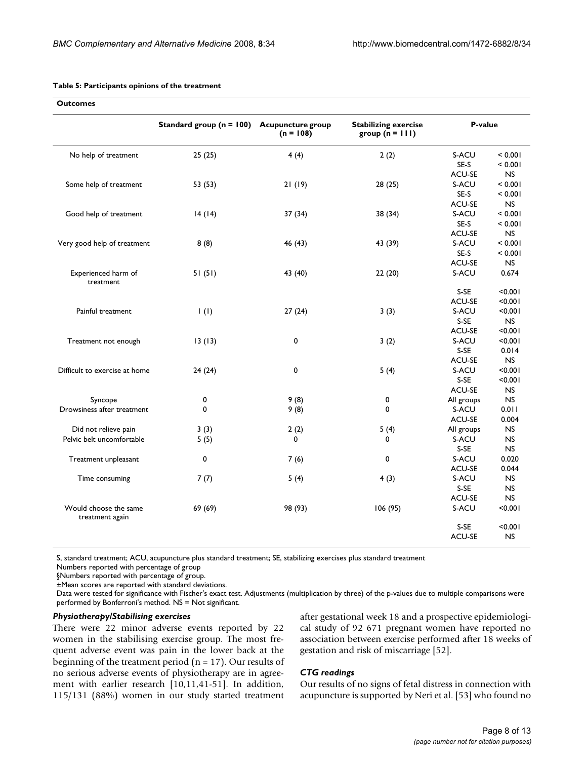| <b>Outcomes</b>                                   |                              |                                         |                                                  |                     |                |
|---------------------------------------------------|------------------------------|-----------------------------------------|--------------------------------------------------|---------------------|----------------|
|                                                   | Standard group ( $n = 100$ ) | <b>Acupuncture group</b><br>$(n = 108)$ | <b>Stabilizing exercise</b><br>group $(n = 111)$ | P-value             |                |
| No help of treatment                              | 25(25)                       | 4(4)                                    | 2(2)                                             | S-ACU               | < 0.001        |
|                                                   |                              |                                         |                                                  | SE-S                | < 0.001        |
|                                                   |                              |                                         |                                                  | <b>ACU-SE</b>       | <b>NS</b>      |
| Some help of treatment                            | 53 (53)                      | 21(19)                                  | 28(25)                                           | S-ACU               | < 0.001        |
|                                                   |                              |                                         |                                                  | SE-S                | < 0.001        |
|                                                   |                              |                                         |                                                  | <b>ACU-SE</b>       | NS.            |
| Good help of treatment                            | 14(14)                       | 37 (34)                                 | 38 (34)                                          | S-ACU               | < 0.001        |
|                                                   |                              |                                         |                                                  | SE-S                | < 0.001        |
|                                                   |                              |                                         |                                                  | ACU-SE              | <b>NS</b>      |
| Very good help of treatment                       | 8(8)                         | 46 (43)                                 | 43 (39)                                          | S-ACU               | < 0.001        |
|                                                   |                              |                                         |                                                  | SE-S                | < 0.001        |
|                                                   |                              |                                         |                                                  | <b>ACU-SE</b>       | <b>NS</b>      |
| Experienced harm of<br>treatment                  | 51(51)                       | 43 (40)                                 | 22(20)                                           | S-ACU               | 0.674          |
|                                                   |                              |                                         |                                                  | S-SE                | < 0.001        |
|                                                   |                              |                                         |                                                  | ACU-SE              | < 0.001        |
| Painful treatment                                 | $\vert$ (l)                  | 27(24)                                  | 3(3)                                             | S-ACU               | < 0.001        |
|                                                   |                              |                                         |                                                  | S-SE                | <b>NS</b>      |
|                                                   |                              |                                         |                                                  | <b>ACU-SE</b>       | < 0.001        |
| Treatment not enough                              | 13(13)                       | 0                                       | 3(2)                                             | S-ACU               | < 0.001        |
|                                                   |                              |                                         |                                                  | S-SE                | 0.014          |
|                                                   |                              |                                         |                                                  | <b>ACU-SE</b>       | <b>NS</b>      |
| Difficult to exercise at home                     | 24(24)                       | 0                                       | 5(4)                                             | S-ACU               | < 0.001        |
|                                                   |                              |                                         |                                                  | S-SE                | < 0.001        |
|                                                   |                              |                                         |                                                  | ACU-SE              | <b>NS</b>      |
| Syncope                                           | 0                            | 9(8)                                    | 0                                                | All groups          | N <sub>S</sub> |
| Drowsiness after treatment                        | 0                            |                                         | $\mathbf 0$                                      | S-ACU               | 0.011          |
|                                                   |                              | 9(8)                                    |                                                  | ACU-SE              | 0.004          |
|                                                   |                              |                                         |                                                  |                     | <b>NS</b>      |
| Did not relieve pain<br>Pelvic belt uncomfortable | 3(3)                         | 2(2)<br>$\Omega$                        | 5(4)<br>0                                        | All groups<br>S-ACU | <b>NS</b>      |
|                                                   | 5(5)                         |                                         |                                                  | S-SE                | <b>NS</b>      |
|                                                   |                              |                                         |                                                  |                     |                |
| Treatment unpleasant                              | 0                            | 7(6)                                    | 0                                                | S-ACU               | 0.020          |
|                                                   |                              |                                         |                                                  | <b>ACU-SE</b>       | 0.044          |
| Time consuming                                    | 7(7)                         | 5(4)                                    | 4(3)                                             | S-ACU               | <b>NS</b>      |
|                                                   |                              |                                         |                                                  | S-SE                | <b>NS</b>      |
|                                                   |                              |                                         |                                                  | <b>ACU-SE</b>       | <b>NS</b>      |
| Would choose the same<br>treatment again          | 69 (69)                      | 98 (93)                                 | 106 (95)                                         | S-ACU               | < 0.001        |
|                                                   |                              |                                         |                                                  | S-SE                | < 0.001        |
|                                                   |                              |                                         |                                                  | <b>ACU-SE</b>       | NS.            |

#### **Table 5: Participants opinions of the treatment**

S, standard treatment; ACU, acupuncture plus standard treatment; SE, stabilizing exercises plus standard treatment

Numbers reported with percentage of group

§Numbers reported with percentage of group.

±Mean scores are reported with standard deviations.

Data were tested for significance with Fischer's exact test. Adjustments (multiplication by three) of the p-values due to multiple comparisons were performed by Bonferroni's method. NS = Not significant.

### *Physiotherapy/Stabilising exercises*

There were 22 minor adverse events reported by 22 women in the stabilising exercise group. The most frequent adverse event was pain in the lower back at the beginning of the treatment period ( $n = 17$ ). Our results of no serious adverse events of physiotherapy are in agreement with earlier research [10,11,41-51]. In addition, 115/131 (88%) women in our study started treatment after gestational week 18 and a prospective epidemiological study of 92 671 pregnant women have reported no association between exercise performed after 18 weeks of gestation and risk of miscarriage [52].

# *CTG readings*

Our results of no signs of fetal distress in connection with acupuncture is supported by Neri et al. [53] who found no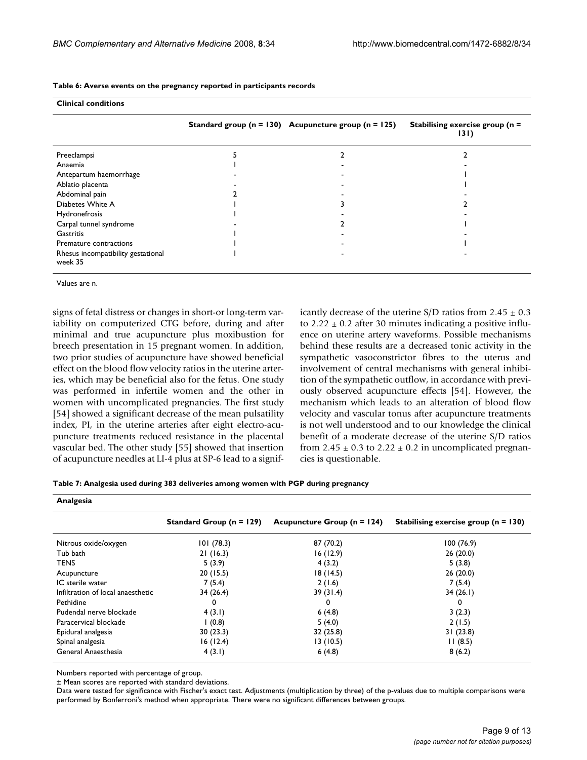| <b>Clinical conditions</b>                    |                                                              |                                            |
|-----------------------------------------------|--------------------------------------------------------------|--------------------------------------------|
|                                               | Standard group ( $n = 130$ ) Acupuncture group ( $n = 125$ ) | Stabilising exercise group ( $n =$<br>131) |
| Preeclampsi                                   |                                                              |                                            |
| Anaemia                                       |                                                              |                                            |
| Antepartum haemorrhage                        |                                                              |                                            |
| Ablatio placenta                              |                                                              |                                            |
| Abdominal pain                                |                                                              |                                            |
| Diabetes White A                              |                                                              |                                            |
| Hydronefrosis                                 |                                                              |                                            |
| Carpal tunnel syndrome                        |                                                              |                                            |
| <b>Gastritis</b>                              |                                                              |                                            |
| Premature contractions                        |                                                              |                                            |
| Rhesus incompatibility gestational<br>week 35 |                                                              |                                            |

**Table 6: Averse events on the pregnancy reported in participants records**

Values are n.

signs of fetal distress or changes in short-or long-term variability on computerized CTG before, during and after minimal and true acupuncture plus moxibustion for breech presentation in 15 pregnant women. In addition, two prior studies of acupuncture have showed beneficial effect on the blood flow velocity ratios in the uterine arteries, which may be beneficial also for the fetus. One study was performed in infertile women and the other in women with uncomplicated pregnancies. The first study [54] showed a significant decrease of the mean pulsatility index, PI, in the uterine arteries after eight electro-acupuncture treatments reduced resistance in the placental vascular bed. The other study [55] showed that insertion of acupuncture needles at LI-4 plus at SP-6 lead to a significantly decrease of the uterine S/D ratios from  $2.45 \pm 0.3$ to  $2.22 \pm 0.2$  after 30 minutes indicating a positive influence on uterine artery waveforms. Possible mechanisms behind these results are a decreased tonic activity in the sympathetic vasoconstrictor fibres to the uterus and involvement of central mechanisms with general inhibition of the sympathetic outflow, in accordance with previously observed acupuncture effects [54]. However, the mechanism which leads to an alteration of blood flow velocity and vascular tonus after acupuncture treatments is not well understood and to our knowledge the clinical benefit of a moderate decrease of the uterine S/D ratios from 2.45  $\pm$  0.3 to 2.22  $\pm$  0.2 in uncomplicated pregnancies is questionable.

| Analgesia                    |                                 |                                        |  |  |  |
|------------------------------|---------------------------------|----------------------------------------|--|--|--|
| Standard Group ( $n = 129$ ) | Acupuncture Group ( $n = 124$ ) | Stabilising exercise group $(n = 130)$ |  |  |  |
| 101(78.3)                    | 87 (70.2)                       | 100(76.9)                              |  |  |  |
| 21(16.3)                     | 16 (12.9)                       | 26(20.0)                               |  |  |  |
| 5(3.9)                       | 4(3.2)                          | 5(3.8)                                 |  |  |  |
| 20(15.5)                     | 18 (14.5)                       | 26(20.0)                               |  |  |  |
| 7(5.4)                       | 2(1.6)                          | 7(5.4)                                 |  |  |  |
| 34 (26.4)                    | 39(31.4)                        | 34(26.1)                               |  |  |  |
| 0                            | 0                               | 0                                      |  |  |  |
| 4(3.1)                       | 6(4.8)                          | 3(2.3)                                 |  |  |  |
| (0.8)                        | 5(4.0)                          | 2(1.5)                                 |  |  |  |
| 30(23.3)                     | 32(25.8)                        | 31(23.8)                               |  |  |  |
| 16(12.4)                     | 13 (10.5)                       | 11(8.5)                                |  |  |  |
| 4(3.1)                       | 6(4.8)                          | 8(6.2)                                 |  |  |  |
|                              |                                 |                                        |  |  |  |

Numbers reported with percentage of group.

± Mean scores are reported with standard deviations.

Data were tested for significance with Fischer's exact test. Adjustments (multiplication by three) of the p-values due to multiple comparisons were performed by Bonferroni's method when appropriate. There were no significant differences between groups.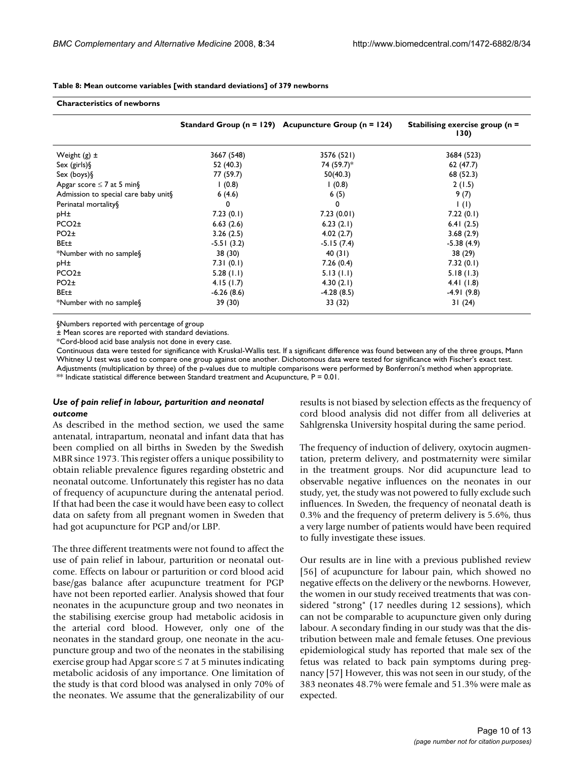|                                      |              | Standard Group ( $n = 129$ ) Acupuncture Group ( $n = 124$ ) | Stabilising exercise group ( $n =$<br>130) |
|--------------------------------------|--------------|--------------------------------------------------------------|--------------------------------------------|
| Weight $(g)$ $\pm$                   | 3667 (548)   | 3576 (521)                                                   | 3684 (523)                                 |
| Sex (girls)                          | 52 (40.3)    | 74 (59.7)*                                                   | 62(47.7)                                   |
| Sex (boys) $\S$                      | 77 (59.7)    | 50(40.3)                                                     | 68 (52.3)                                  |
| Apgar score $\leq 7$ at 5 min §      | (0.8)        | (0.8)                                                        | 2(1.5)                                     |
| Admission to special care baby unit§ | 6(4.6)       | 6(5)                                                         | 9(7)                                       |
| Perinatal mortality §                | 0            | 0                                                            | $\mathsf{I}(\mathsf{I})$                   |
| pH±                                  | 7.23(0.1)    | 7.23(0.01)                                                   | 7.22(0.1)                                  |
| PCO2 <sub>±</sub>                    | 6.63(2.6)    | 6.23(2.1)                                                    | 6.41(2.5)                                  |
| PO2 <sub>±</sub>                     | 3.26(2.5)    | 4.02(2.7)                                                    | 3.68(2.9)                                  |
| BEt±                                 | $-5.51(3.2)$ | $-5.15(7.4)$                                                 | $-5.38(4.9)$                               |
| *Number with no sample§              | 38 (30)      | 40 (31)                                                      | 38 (29)                                    |
| pH±                                  | 7.31(0.1)    | 7.26(0.4)                                                    | 7.32(0.1)                                  |
| PCO2 <sub>±</sub>                    | 5.28(1.1)    | 5.13(1.1)                                                    | 5.18(1.3)                                  |
| PO2 <sub>±</sub>                     | 4.15(1.7)    | 4.30(2.1)                                                    | 4.4 $(1.8)$                                |
| BEt±                                 | $-6.26(8.6)$ | $-4.28(8.5)$                                                 | $-4.91(9.8)$                               |
| *Number with no sample§              | 39 (30)      | 33 (32)                                                      | 31(24)                                     |

**Table 8: Mean outcome variables [with standard deviations] of 379 newborns**

§Numbers reported with percentage of group

**Characteristics of newborns**

± Mean scores are reported with standard deviations.

\*Cord-blood acid base analysis not done in every case.

Continuous data were tested for significance with Kruskal-Wallis test. If a significant difference was found between any of the three groups, Mann Whitney U test was used to compare one group against one another. Dichotomous data were tested for significance with Fischer's exact test. Adjustments (multiplication by three) of the p-values due to multiple comparisons were performed by Bonferroni's method when appropriate.  $*$  Indicate statistical difference between Standard treatment and Acupuncture,  $P = 0.01$ .

#### *Use of pain relief in labour, parturition and neonatal outcome*

As described in the method section, we used the same antenatal, intrapartum, neonatal and infant data that has been complied on all births in Sweden by the Swedish MBR since 1973. This register offers a unique possibility to obtain reliable prevalence figures regarding obstetric and neonatal outcome. Unfortunately this register has no data of frequency of acupuncture during the antenatal period. If that had been the case it would have been easy to collect data on safety from all pregnant women in Sweden that had got acupuncture for PGP and/or LBP.

The three different treatments were not found to affect the use of pain relief in labour, parturition or neonatal outcome. Effects on labour or parturition or cord blood acid base/gas balance after acupuncture treatment for PGP have not been reported earlier. Analysis showed that four neonates in the acupuncture group and two neonates in the stabilising exercise group had metabolic acidosis in the arterial cord blood. However, only one of the neonates in the standard group, one neonate in the acupuncture group and two of the neonates in the stabilising exercise group had Apgar score  $\leq 7$  at 5 minutes indicating metabolic acidosis of any importance. One limitation of the study is that cord blood was analysed in only 70% of the neonates. We assume that the generalizability of our results is not biased by selection effects as the frequency of cord blood analysis did not differ from all deliveries at Sahlgrenska University hospital during the same period.

The frequency of induction of delivery, oxytocin augmentation, preterm delivery, and postmaternity were similar in the treatment groups. Nor did acupuncture lead to observable negative influences on the neonates in our study, yet, the study was not powered to fully exclude such influences. In Sweden, the frequency of neonatal death is 0.3% and the frequency of preterm delivery is 5.6%, thus a very large number of patients would have been required to fully investigate these issues.

Our results are in line with a previous published review [56] of acupuncture for labour pain, which showed no negative effects on the delivery or the newborns. However, the women in our study received treatments that was considered "strong" (17 needles during 12 sessions), which can not be comparable to acupuncture given only during labour. A secondary finding in our study was that the distribution between male and female fetuses. One previous epidemiological study has reported that male sex of the fetus was related to back pain symptoms during pregnancy [57] However, this was not seen in our study, of the 383 neonates 48.7% were female and 51.3% were male as expected.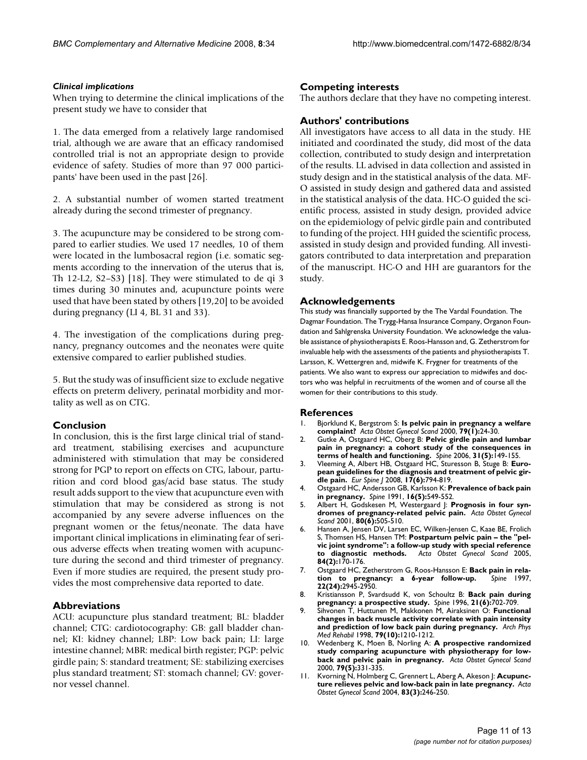# *Clinical implications*

When trying to determine the clinical implications of the present study we have to consider that

1. The data emerged from a relatively large randomised trial, although we are aware that an efficacy randomised controlled trial is not an appropriate design to provide evidence of safety. Studies of more than 97 000 participants' have been used in the past [26].

2. A substantial number of women started treatment already during the second trimester of pregnancy.

3. The acupuncture may be considered to be strong compared to earlier studies. We used 17 needles, 10 of them were located in the lumbosacral region (i.e. somatic segments according to the innervation of the uterus that is, Th 12-L2, S2–S3) [18]. They were stimulated to de qi 3 times during 30 minutes and, acupuncture points were used that have been stated by others [19,20] to be avoided during pregnancy (LI 4, BL 31 and 33).

4. The investigation of the complications during pregnancy, pregnancy outcomes and the neonates were quite extensive compared to earlier published studies.

5. But the study was of insufficient size to exclude negative effects on preterm delivery, perinatal morbidity and mortality as well as on CTG.

# **Conclusion**

In conclusion, this is the first large clinical trial of standard treatment, stabilising exercises and acupuncture administered with stimulation that may be considered strong for PGP to report on effects on CTG, labour, parturition and cord blood gas/acid base status. The study result adds support to the view that acupuncture even with stimulation that may be considered as strong is not accompanied by any severe adverse influences on the pregnant women or the fetus/neonate. The data have important clinical implications in eliminating fear of serious adverse effects when treating women with acupuncture during the second and third trimester of pregnancy. Even if more studies are required, the present study provides the most comprehensive data reported to date.

# **Abbreviations**

ACU: acupuncture plus standard treatment; BL: bladder channel; CTG: cardiotocography: GB: gall bladder channel; KI: kidney channel; LBP: Low back pain; LI: large intestine channel; MBR: medical birth register; PGP: pelvic girdle pain; S: standard treatment; SE: stabilizing exercises plus standard treatment; ST: stomach channel; GV: governor vessel channel.

# **Competing interests**

The authors declare that they have no competing interest.

# **Authors' contributions**

All investigators have access to all data in the study. HE initiated and coordinated the study, did most of the data collection, contributed to study design and interpretation of the results. LL advised in data collection and assisted in study design and in the statistical analysis of the data. MF-O assisted in study design and gathered data and assisted in the statistical analysis of the data. HC-O guided the scientific process, assisted in study design, provided advice on the epidemiology of pelvic girdle pain and contributed to funding of the project. HH guided the scientific process, assisted in study design and provided funding. All investigators contributed to data interpretation and preparation of the manuscript. HC-O and HH are guarantors for the study.

# **Acknowledgements**

This study was financially supported by the The Vardal Foundation. The Dagmar Foundation. The Trygg-Hansa Insurance Company, Organon Foundation and Sahlgrenska University Foundation. We acknowledge the valuable assistance of physiotherapists E. Roos-Hansson and, G. Zetherstrom for invaluable help with the assessments of the patients and physiotherapists T. Larsson, K. Wettergren and, midwife K. Frygner for treatments of the patients. We also want to express our appreciation to midwifes and doctors who was helpful in recruitments of the women and of course all the women for their contributions to this study.

# **References**

- 1. Bjorklund K, Bergstrom S: **[Is pelvic pain in pregnancy a welfare](http://www.ncbi.nlm.nih.gov/entrez/query.fcgi?cmd=Retrieve&db=PubMed&dopt=Abstract&list_uids=10646812) [complaint?](http://www.ncbi.nlm.nih.gov/entrez/query.fcgi?cmd=Retrieve&db=PubMed&dopt=Abstract&list_uids=10646812)** *Acta Obstet Gynecol Scand* 2000, **79(1):**24-30.
- 2. Gutke A, Ostgaard HC, Oberg B: **Pelvic girdle pain and lumbar pain in pregnancy: a cohort study of the consequences in terms of health and functioning.** *Spine* 2006, **31(5):**149-155.
- 3. Vleeming A, Albert HB, Ostgaard HC, Sturesson B, Stuge B: **[Euro](http://www.ncbi.nlm.nih.gov/entrez/query.fcgi?cmd=Retrieve&db=PubMed&dopt=Abstract&list_uids=18259783)[pean guidelines for the diagnosis and treatment of pelvic gir](http://www.ncbi.nlm.nih.gov/entrez/query.fcgi?cmd=Retrieve&db=PubMed&dopt=Abstract&list_uids=18259783)[dle pain.](http://www.ncbi.nlm.nih.gov/entrez/query.fcgi?cmd=Retrieve&db=PubMed&dopt=Abstract&list_uids=18259783)** *Eur Spine J* 2008, **17(6):**794-819.
- 4. Ostgaard HC, Andersson GB, Karlsson K: **[Prevalence of back pain](http://www.ncbi.nlm.nih.gov/entrez/query.fcgi?cmd=Retrieve&db=PubMed&dopt=Abstract&list_uids=1828912) [in pregnancy.](http://www.ncbi.nlm.nih.gov/entrez/query.fcgi?cmd=Retrieve&db=PubMed&dopt=Abstract&list_uids=1828912)** *Spine* 1991, **16(5):**549-552.
- 5. Albert H, Godskesen M, Westergaard J: **[Prognosis in four syn](http://www.ncbi.nlm.nih.gov/entrez/query.fcgi?cmd=Retrieve&db=PubMed&dopt=Abstract&list_uids=11380285)[dromes of pregnancy-related pelvic pain.](http://www.ncbi.nlm.nih.gov/entrez/query.fcgi?cmd=Retrieve&db=PubMed&dopt=Abstract&list_uids=11380285)** *Acta Obstet Gynecol Scand* 2001, **80(6):**505-510.
- 6. Hansen A, Jensen DV, Larsen EC, Wilken-Jensen C, Kaae BE, Frolich S, Thomsen HS, Hansen TM: **[Postpartum pelvic pain – the "pel](http://www.ncbi.nlm.nih.gov/entrez/query.fcgi?cmd=Retrieve&db=PubMed&dopt=Abstract&list_uids=15683379)[vic joint syndrome": a follow-up study with special reference](http://www.ncbi.nlm.nih.gov/entrez/query.fcgi?cmd=Retrieve&db=PubMed&dopt=Abstract&list_uids=15683379) [to diagnostic methods.](http://www.ncbi.nlm.nih.gov/entrez/query.fcgi?cmd=Retrieve&db=PubMed&dopt=Abstract&list_uids=15683379)** *Acta Obstet Gynecol Scand* 2005, **84(2):**170-176.
- 7. Ostgaard HC, Zetherstrom G, Roos-Hansson E: **[Back pain in rela](http://www.ncbi.nlm.nih.gov/entrez/query.fcgi?cmd=Retrieve&db=PubMed&dopt=Abstract&list_uids=9431631)[tion to pregnancy: a 6-year follow-up.](http://www.ncbi.nlm.nih.gov/entrez/query.fcgi?cmd=Retrieve&db=PubMed&dopt=Abstract&list_uids=9431631)** *Spine* 1997, **22(24):**2945-2950.
- 8. Kristiansson P, Svardsudd K, von Schoultz B: **[Back pain during](http://www.ncbi.nlm.nih.gov/entrez/query.fcgi?cmd=Retrieve&db=PubMed&dopt=Abstract&list_uids=8882692) [pregnancy: a prospective study.](http://www.ncbi.nlm.nih.gov/entrez/query.fcgi?cmd=Retrieve&db=PubMed&dopt=Abstract&list_uids=8882692)** *Spine* 1996, **21(6):**702-709.
- 9. Sihvonen T, Huttunen M, Makkonen M, Airaksinen O: **[Functional](http://www.ncbi.nlm.nih.gov/entrez/query.fcgi?cmd=Retrieve&db=PubMed&dopt=Abstract&list_uids=9779673) [changes in back muscle activity correlate with pain intensity](http://www.ncbi.nlm.nih.gov/entrez/query.fcgi?cmd=Retrieve&db=PubMed&dopt=Abstract&list_uids=9779673) [and prediction of low back pain during pregnancy.](http://www.ncbi.nlm.nih.gov/entrez/query.fcgi?cmd=Retrieve&db=PubMed&dopt=Abstract&list_uids=9779673)** *Arch Phys Med Rehabil* 1998, **79(10):**1210-1212.
- 10. Wedenberg K, Moen B, Norling A: **[A prospective randomized](http://www.ncbi.nlm.nih.gov/entrez/query.fcgi?cmd=Retrieve&db=PubMed&dopt=Abstract&list_uids=10830757) [study comparing acupuncture with physiotherapy for low](http://www.ncbi.nlm.nih.gov/entrez/query.fcgi?cmd=Retrieve&db=PubMed&dopt=Abstract&list_uids=10830757)[back and pelvic pain in pregnancy.](http://www.ncbi.nlm.nih.gov/entrez/query.fcgi?cmd=Retrieve&db=PubMed&dopt=Abstract&list_uids=10830757)** *Acta Obstet Gynecol Scand* 2000, **79(5):**331-335.
- Kvorning N, Holmberg C, Grennert L, Aberg A, Akeson J: [Acupunc](http://www.ncbi.nlm.nih.gov/entrez/query.fcgi?cmd=Retrieve&db=PubMed&dopt=Abstract&list_uids=14995919)**[ture relieves pelvic and low-back pain in late pregnancy.](http://www.ncbi.nlm.nih.gov/entrez/query.fcgi?cmd=Retrieve&db=PubMed&dopt=Abstract&list_uids=14995919)** *Acta Obstet Gynecol Scand* 2004, **83(3):**246-250.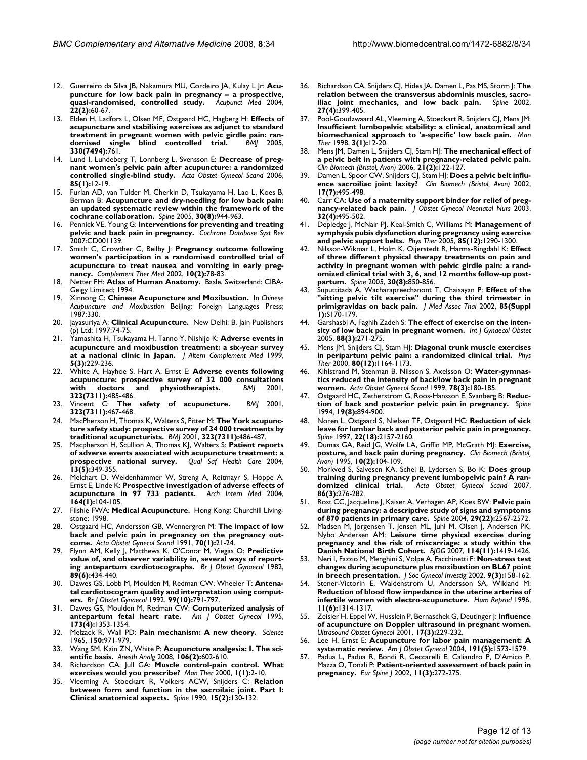- 12. Guerreiro da Silva JB, Nakamura MU, Cordeiro JA, Kulay L Jr: **[Acu](http://www.ncbi.nlm.nih.gov/entrez/query.fcgi?cmd=Retrieve&db=PubMed&dopt=Abstract&list_uids=15253580)[puncture for low back pain in pregnancy – a prospective,](http://www.ncbi.nlm.nih.gov/entrez/query.fcgi?cmd=Retrieve&db=PubMed&dopt=Abstract&list_uids=15253580) [quasi-randomised, controlled study.](http://www.ncbi.nlm.nih.gov/entrez/query.fcgi?cmd=Retrieve&db=PubMed&dopt=Abstract&list_uids=15253580)** *Acupunct Med* 2004, **22(2):**60-67.
- 13. Elden H, Ladfors L, Olsen MF, Ostgaard HC, Hagberg H: **[Effects of](http://www.ncbi.nlm.nih.gov/entrez/query.fcgi?cmd=Retrieve&db=PubMed&dopt=Abstract&list_uids=15778231) [acupuncture and stabilising exercises as adjunct to standard](http://www.ncbi.nlm.nih.gov/entrez/query.fcgi?cmd=Retrieve&db=PubMed&dopt=Abstract&list_uids=15778231) treatment in pregnant women with pelvic girdle pain: ran**[domised single blind controlled trial.](http://www.ncbi.nlm.nih.gov/entrez/query.fcgi?cmd=Retrieve&db=PubMed&dopt=Abstract&list_uids=15778231) **330(7494):**761.
- 14. Lund I, Lundeberg T, Lonnberg L, Svensson E: **[Decrease of preg](http://www.ncbi.nlm.nih.gov/entrez/query.fcgi?cmd=Retrieve&db=PubMed&dopt=Abstract&list_uids=16521674)[nant women's pelvic pain after acupuncture: a randomized](http://www.ncbi.nlm.nih.gov/entrez/query.fcgi?cmd=Retrieve&db=PubMed&dopt=Abstract&list_uids=16521674) [controlled single-blind study.](http://www.ncbi.nlm.nih.gov/entrez/query.fcgi?cmd=Retrieve&db=PubMed&dopt=Abstract&list_uids=16521674)** *Acta Obstet Gynecol Scand* 2006, **85(1):**12-19.
- 15. Furlan AD, van Tulder M, Cherkin D, Tsukayama H, Lao L, Koes B, Berman B: **[Acupuncture and dry-needling for low back pain:](http://www.ncbi.nlm.nih.gov/entrez/query.fcgi?cmd=Retrieve&db=PubMed&dopt=Abstract&list_uids=15834340) [an updated systematic review within the framework of the](http://www.ncbi.nlm.nih.gov/entrez/query.fcgi?cmd=Retrieve&db=PubMed&dopt=Abstract&list_uids=15834340) [cochrane collaboration.](http://www.ncbi.nlm.nih.gov/entrez/query.fcgi?cmd=Retrieve&db=PubMed&dopt=Abstract&list_uids=15834340)** *Spine* 2005, **30(8):**944-963.
- 16. Pennick VE, Young G: **[Interventions for preventing and treating](http://www.ncbi.nlm.nih.gov/entrez/query.fcgi?cmd=Retrieve&db=PubMed&dopt=Abstract&list_uids=17443503) [pelvic and back pain in pregnancy.](http://www.ncbi.nlm.nih.gov/entrez/query.fcgi?cmd=Retrieve&db=PubMed&dopt=Abstract&list_uids=17443503)** *Cochrane Database Syst Rev* 2007:CD001139.
- 17. Smith C, Crowther C, Beilby J: **[Pregnancy outcome following](http://www.ncbi.nlm.nih.gov/entrez/query.fcgi?cmd=Retrieve&db=PubMed&dopt=Abstract&list_uids=12481955) [women's participation in a randomised controlled trial of](http://www.ncbi.nlm.nih.gov/entrez/query.fcgi?cmd=Retrieve&db=PubMed&dopt=Abstract&list_uids=12481955) acupuncture to treat nausea and vomiting in early preg[nancy.](http://www.ncbi.nlm.nih.gov/entrez/query.fcgi?cmd=Retrieve&db=PubMed&dopt=Abstract&list_uids=12481955)** *Complement Ther Med* 2002, **10(2):**78-83.
- 18. Netter FH: **Atlas of Human Anatomy.** Basle, Switzerland: CIBA-Geigy Limited; 1994.
- 19. Xinnong C: **Chinese Acupuncture and Moxibustion.** In *Chinese Acupuncture and Moxibustion* Beijing: Foreign Languages Press; 1987:330.
- 20. Jayasuriya A: **Clinical Acupuncture.** New Delhi: B. Jain Publishers (p) Ltd; 1997:74-75.
- 21. Yamashita H, Tsukayama H, Tanno Y, Nishijo K: **[Adverse events in](http://www.ncbi.nlm.nih.gov/entrez/query.fcgi?cmd=Retrieve&db=PubMed&dopt=Abstract&list_uids=10381246) [acupuncture and moxibustion treatment: a six-year survey](http://www.ncbi.nlm.nih.gov/entrez/query.fcgi?cmd=Retrieve&db=PubMed&dopt=Abstract&list_uids=10381246) [at a national clinic in Japan.](http://www.ncbi.nlm.nih.gov/entrez/query.fcgi?cmd=Retrieve&db=PubMed&dopt=Abstract&list_uids=10381246)** *J Altern Complement Med* 1999, **5(3):**229-236.
- 22. White A, Hayhoe S, Hart A, Ernst E: **[Adverse events following](http://www.ncbi.nlm.nih.gov/entrez/query.fcgi?cmd=Retrieve&db=PubMed&dopt=Abstract&list_uids=11532840) [acupuncture: prospective survey of 32 000 consultations](http://www.ncbi.nlm.nih.gov/entrez/query.fcgi?cmd=Retrieve&db=PubMed&dopt=Abstract&list_uids=11532840)** [with doctors and physiotherapists.](http://www.ncbi.nlm.nih.gov/entrez/query.fcgi?cmd=Retrieve&db=PubMed&dopt=Abstract&list_uids=11532840) **323(7311):**485-486.
- 23. Vincent C: **[The safety of acupuncture.](http://www.ncbi.nlm.nih.gov/entrez/query.fcgi?cmd=Retrieve&db=PubMed&dopt=Abstract&list_uids=11532826)** *BMJ* 2001, **323(7311):**467-468.
- 24. MacPherson H, Thomas K, Walters S, Fitter M: **[The York acupunc](http://www.ncbi.nlm.nih.gov/entrez/query.fcgi?cmd=Retrieve&db=PubMed&dopt=Abstract&list_uids=11532841)[ture safety study: prospective survey of 34 000 treatments by](http://www.ncbi.nlm.nih.gov/entrez/query.fcgi?cmd=Retrieve&db=PubMed&dopt=Abstract&list_uids=11532841) [traditional acupuncturists.](http://www.ncbi.nlm.nih.gov/entrez/query.fcgi?cmd=Retrieve&db=PubMed&dopt=Abstract&list_uids=11532841)** *BMJ* 2001, **323(7311):**486-487.
- 25. Macpherson H, Scullion A, Thomas KJ, Walters S: **[Patient reports](http://www.ncbi.nlm.nih.gov/entrez/query.fcgi?cmd=Retrieve&db=PubMed&dopt=Abstract&list_uids=15465938) [of adverse events associated with acupuncture treatment: a](http://www.ncbi.nlm.nih.gov/entrez/query.fcgi?cmd=Retrieve&db=PubMed&dopt=Abstract&list_uids=15465938) [prospective national survey.](http://www.ncbi.nlm.nih.gov/entrez/query.fcgi?cmd=Retrieve&db=PubMed&dopt=Abstract&list_uids=15465938)** *Qual Saf Health Care* 2004, **13(5):**349-355.
- 26. Melchart D, Weidenhammer W, Streng A, Reitmayr S, Hoppe A, Ernst E, Linde K: **[Prospective investigation of adverse effects of](http://www.ncbi.nlm.nih.gov/entrez/query.fcgi?cmd=Retrieve&db=PubMed&dopt=Abstract&list_uids=14718331) [acupuncture in 97 733 patients.](http://www.ncbi.nlm.nih.gov/entrez/query.fcgi?cmd=Retrieve&db=PubMed&dopt=Abstract&list_uids=14718331)** *Arch Intern Med* 2004, **164(1):**104-105.
- 27. Filshie FWA: **Medical Acupuncture.** Hong Kong: Churchill Livingstone; 1998.
- 28. Ostgaard HC, Andersson GB, Wennergren M: **[The impact of low](http://www.ncbi.nlm.nih.gov/entrez/query.fcgi?cmd=Retrieve&db=PubMed&dopt=Abstract&list_uids=1830444) [back and pelvic pain in pregnancy on the pregnancy out](http://www.ncbi.nlm.nih.gov/entrez/query.fcgi?cmd=Retrieve&db=PubMed&dopt=Abstract&list_uids=1830444)[come.](http://www.ncbi.nlm.nih.gov/entrez/query.fcgi?cmd=Retrieve&db=PubMed&dopt=Abstract&list_uids=1830444)** *Acta Obstet Gynecol Scand* 1991, **70(1):**21-24.
- 29. Flynn AM, Kelly J, Matthews K, O'Conor M, Viegas O: **[Predictive](http://www.ncbi.nlm.nih.gov/entrez/query.fcgi?cmd=Retrieve&db=PubMed&dopt=Abstract&list_uids=7082599) [value of, and observer variability in, several ways of report](http://www.ncbi.nlm.nih.gov/entrez/query.fcgi?cmd=Retrieve&db=PubMed&dopt=Abstract&list_uids=7082599)[ing antepartum cardiotocographs.](http://www.ncbi.nlm.nih.gov/entrez/query.fcgi?cmd=Retrieve&db=PubMed&dopt=Abstract&list_uids=7082599)** *Br J Obstet Gynaecol* 1982, **89(6):**434-440.
- 30. Dawes GS, Lobb M, Moulden M, Redman CW, Wheeler T: **[Antena](http://www.ncbi.nlm.nih.gov/entrez/query.fcgi?cmd=Retrieve&db=PubMed&dopt=Abstract&list_uids=1419989)[tal cardiotocogram quality and interpretation using comput](http://www.ncbi.nlm.nih.gov/entrez/query.fcgi?cmd=Retrieve&db=PubMed&dopt=Abstract&list_uids=1419989)[ers.](http://www.ncbi.nlm.nih.gov/entrez/query.fcgi?cmd=Retrieve&db=PubMed&dopt=Abstract&list_uids=1419989)** *Br J Obstet Gynaecol* 1992, **99(10):**791-797.
- 31. Dawes GS, Moulden M, Redman CW: **[Computerized analysis of](http://www.ncbi.nlm.nih.gov/entrez/query.fcgi?cmd=Retrieve&db=PubMed&dopt=Abstract&list_uids=7485356) [antepartum fetal heart rate.](http://www.ncbi.nlm.nih.gov/entrez/query.fcgi?cmd=Retrieve&db=PubMed&dopt=Abstract&list_uids=7485356)** *Am J Obstet Gynecol* 1995, **173(4):**1353-1354.
- 32. Melzack R, Wall PD: **[Pain mechanism: A new theory.](http://www.ncbi.nlm.nih.gov/entrez/query.fcgi?cmd=Retrieve&db=PubMed&dopt=Abstract&list_uids=5320816)** *Science* 1965, **150:**971-979.
- 33. Wang SM, Kain ZN, White P: **[Acupuncture analgesia: I. The sci](http://www.ncbi.nlm.nih.gov/entrez/query.fcgi?cmd=Retrieve&db=PubMed&dopt=Abstract&list_uids=18227322)[entific basis.](http://www.ncbi.nlm.nih.gov/entrez/query.fcgi?cmd=Retrieve&db=PubMed&dopt=Abstract&list_uids=18227322)** *Anesth Analg* 2008, **106(2):**602-610.
- 34. Richardson CA, Jull GA: **Muscle control-pain control. What exercises would you prescribe?** *Man Ther* 2000, **1(1):**2-10.
- 35. Vleeming A, Stoeckart R, Volkers ACW, Snijders C: **[Relation](http://www.ncbi.nlm.nih.gov/entrez/query.fcgi?cmd=Retrieve&db=PubMed&dopt=Abstract&list_uids=2326706) [between form and function in the sacroilaic joint. Part I:](http://www.ncbi.nlm.nih.gov/entrez/query.fcgi?cmd=Retrieve&db=PubMed&dopt=Abstract&list_uids=2326706) [Clinical anatomical aspects.](http://www.ncbi.nlm.nih.gov/entrez/query.fcgi?cmd=Retrieve&db=PubMed&dopt=Abstract&list_uids=2326706)** *Spine* 1990, **15(2):**130-132.
- 36. Richardson CA, Snijders CJ, Hides JA, Damen L, Pas MS, Storm J: **[The](http://www.ncbi.nlm.nih.gov/entrez/query.fcgi?cmd=Retrieve&db=PubMed&dopt=Abstract&list_uids=11840107) [relation between the transversus abdominis muscles, sacro](http://www.ncbi.nlm.nih.gov/entrez/query.fcgi?cmd=Retrieve&db=PubMed&dopt=Abstract&list_uids=11840107)[iliac joint mechanics, and low back pain.](http://www.ncbi.nlm.nih.gov/entrez/query.fcgi?cmd=Retrieve&db=PubMed&dopt=Abstract&list_uids=11840107)** *Spine* 2002, **27(4):**399-405.
- 37. Pool-Goudzwaard AL, Vleeming A, Stoeckart R, Snijders CJ, Mens JM: **[Insufficient lumbopelvic stability: a clinical, anatomical and](http://www.ncbi.nlm.nih.gov/entrez/query.fcgi?cmd=Retrieve&db=PubMed&dopt=Abstract&list_uids=11487296) [biomechanical approach to 'a-specific' low back pain.](http://www.ncbi.nlm.nih.gov/entrez/query.fcgi?cmd=Retrieve&db=PubMed&dopt=Abstract&list_uids=11487296)** *Man Ther* 1998, **3(1):**12-20.
- 38. Mens JM, Damen L, Snijders CJ, Stam HJ: **[The mechanical effect of](http://www.ncbi.nlm.nih.gov/entrez/query.fcgi?cmd=Retrieve&db=PubMed&dopt=Abstract&list_uids=16214275) [a pelvic belt in patients with pregnancy-related pelvic pain.](http://www.ncbi.nlm.nih.gov/entrez/query.fcgi?cmd=Retrieve&db=PubMed&dopt=Abstract&list_uids=16214275)** *Clin Biomech (Bristol, Avon)* 2006, **21(2):**122-127.
- 39. Damen L, Spoor CW, Snijders CJ, Stam HJ: **[Does a pelvic belt influ](http://www.ncbi.nlm.nih.gov/entrez/query.fcgi?cmd=Retrieve&db=PubMed&dopt=Abstract&list_uids=12206939)[ence sacroiliac joint laxity?](http://www.ncbi.nlm.nih.gov/entrez/query.fcgi?cmd=Retrieve&db=PubMed&dopt=Abstract&list_uids=12206939)** *Clin Biomech (Bristol, Avon)* 2002, **17(7):**495-498.
- 40. Carr CA: **[Use of a maternity support binder for relief of preg](http://www.ncbi.nlm.nih.gov/entrez/query.fcgi?cmd=Retrieve&db=PubMed&dopt=Abstract&list_uids=12903699)[nancy-related back pain.](http://www.ncbi.nlm.nih.gov/entrez/query.fcgi?cmd=Retrieve&db=PubMed&dopt=Abstract&list_uids=12903699)** *J Obstet Gynecol Neonatal Nurs* 2003, **32(4):**495-502.
- 41. Depledge J, McNair PJ, Keal-Smith C, Williams M: **[Management of](http://www.ncbi.nlm.nih.gov/entrez/query.fcgi?cmd=Retrieve&db=PubMed&dopt=Abstract&list_uids=16305268) [symphysis pubis dysfunction during pregnancy using exercise](http://www.ncbi.nlm.nih.gov/entrez/query.fcgi?cmd=Retrieve&db=PubMed&dopt=Abstract&list_uids=16305268) [and pelvic support belts.](http://www.ncbi.nlm.nih.gov/entrez/query.fcgi?cmd=Retrieve&db=PubMed&dopt=Abstract&list_uids=16305268)** *Phys Ther* 2005, **85(12):**1290-1300.
- 42. Nilsson-Wikmar L, Holm K, Oijerstedt R, Harms-Ringdahl K: **[Effect](http://www.ncbi.nlm.nih.gov/entrez/query.fcgi?cmd=Retrieve&db=PubMed&dopt=Abstract&list_uids=15834325) of three different physical therapy treatments on pain and [activity in pregnant women with pelvic girdle pain: a rand](http://www.ncbi.nlm.nih.gov/entrez/query.fcgi?cmd=Retrieve&db=PubMed&dopt=Abstract&list_uids=15834325)omized clinical trial with 3, 6, and 12 months follow-up post[partum.](http://www.ncbi.nlm.nih.gov/entrez/query.fcgi?cmd=Retrieve&db=PubMed&dopt=Abstract&list_uids=15834325)** *Spine* 2005, **30(8):**850-856.
- 43. Suputtitada A, Wacharapreechanont T, Chaisayan P: **[Effect of the](http://www.ncbi.nlm.nih.gov/entrez/query.fcgi?cmd=Retrieve&db=PubMed&dopt=Abstract&list_uids=12188409) ["sitting pelvic tilt exercise" during the third trimester in](http://www.ncbi.nlm.nih.gov/entrez/query.fcgi?cmd=Retrieve&db=PubMed&dopt=Abstract&list_uids=12188409) [primigravidas on back pain.](http://www.ncbi.nlm.nih.gov/entrez/query.fcgi?cmd=Retrieve&db=PubMed&dopt=Abstract&list_uids=12188409)** *J Med Assoc Thai* 2002, **85(Suppl 1):**S170-179.
- 44. Garshasbi A, Faghih Zadeh S: **[The effect of exercise on the inten](http://www.ncbi.nlm.nih.gov/entrez/query.fcgi?cmd=Retrieve&db=PubMed&dopt=Abstract&list_uids=15733880)[sity of low back pain in pregnant women.](http://www.ncbi.nlm.nih.gov/entrez/query.fcgi?cmd=Retrieve&db=PubMed&dopt=Abstract&list_uids=15733880)** *Int J Gynaecol Obstet* 2005, **88(3):**271-275.
- 45. Mens JM, Snijders CJ, Stam HJ: **[Diagonal trunk muscle exercises](http://www.ncbi.nlm.nih.gov/entrez/query.fcgi?cmd=Retrieve&db=PubMed&dopt=Abstract&list_uids=11087303) [in peripartum pelvic pain: a randomized clinical trial.](http://www.ncbi.nlm.nih.gov/entrez/query.fcgi?cmd=Retrieve&db=PubMed&dopt=Abstract&list_uids=11087303)** *Phys Ther* 2000, **80(12):**1164-1173.
- 46. Kihlstrand M, Stenman B, Nilsson S, Axelsson O: **[Water-gymnas](http://www.ncbi.nlm.nih.gov/entrez/query.fcgi?cmd=Retrieve&db=PubMed&dopt=Abstract&list_uids=10078577)[tics reduced the intensity of back/low back pain in pregnant](http://www.ncbi.nlm.nih.gov/entrez/query.fcgi?cmd=Retrieve&db=PubMed&dopt=Abstract&list_uids=10078577) [women.](http://www.ncbi.nlm.nih.gov/entrez/query.fcgi?cmd=Retrieve&db=PubMed&dopt=Abstract&list_uids=10078577)** *Acta Obstet Gynecol Scand* 1999, **78(3):**180-185.
- 47. Ostgaard HC, Zetherstrom G, Roos-Hansson E, Svanberg B: **[Reduc](http://www.ncbi.nlm.nih.gov/entrez/query.fcgi?cmd=Retrieve&db=PubMed&dopt=Abstract&list_uids=8009346)[tion of back and posterior pelvic pain in pregnancy.](http://www.ncbi.nlm.nih.gov/entrez/query.fcgi?cmd=Retrieve&db=PubMed&dopt=Abstract&list_uids=8009346)** *Spine* 1994, **19(8):**894-900.
- 48. Noren L, Ostgaard S, Nielsen TF, Ostgaard HC: **[Reduction of sick](http://www.ncbi.nlm.nih.gov/entrez/query.fcgi?cmd=Retrieve&db=PubMed&dopt=Abstract&list_uids=9322326) [leave for lumbar back and posterior pelvic pain in pregnancy.](http://www.ncbi.nlm.nih.gov/entrez/query.fcgi?cmd=Retrieve&db=PubMed&dopt=Abstract&list_uids=9322326)** *Spine* 1997, **22(18):**2157-2160.
- 49. Dumas GA, Reid JG, Wolfe LA, Griffin MP, McGrath MJ: **[Exercise,](http://www.ncbi.nlm.nih.gov/entrez/query.fcgi?cmd=Retrieve&db=PubMed&dopt=Abstract&list_uids=11415539) [posture, and back pain during pregnancy.](http://www.ncbi.nlm.nih.gov/entrez/query.fcgi?cmd=Retrieve&db=PubMed&dopt=Abstract&list_uids=11415539)** *Clin Biomech (Bristol, Avon)* 1995, **10(2):**104-109.
- 50. Morkved S, Salvesen KA, Schei B, Lydersen S, Bo K: **[Does group](http://www.ncbi.nlm.nih.gov/entrez/query.fcgi?cmd=Retrieve&db=PubMed&dopt=Abstract&list_uids=17364300)** training during pregnancy prevent lumbopelvic pain? A ran-<br>domized clinical trial. Acta Obstet Gynecol Scand 2007, Acta Obstet Gynecol Scand 2007, **86(3):**276-282.
- 51. Rost CC, Jacqueline J, Kaiser A, Verhagen AP, Koes BW: **[Pelvic pain](http://www.ncbi.nlm.nih.gov/entrez/query.fcgi?cmd=Retrieve&db=PubMed&dopt=Abstract&list_uids=15543075) [during pregnancy: a descriptive study of signs and symptoms](http://www.ncbi.nlm.nih.gov/entrez/query.fcgi?cmd=Retrieve&db=PubMed&dopt=Abstract&list_uids=15543075) [of 870 patients in primary care.](http://www.ncbi.nlm.nih.gov/entrez/query.fcgi?cmd=Retrieve&db=PubMed&dopt=Abstract&list_uids=15543075)** *Spine* 2004, **29(22):**2567-2572.
- 52. Madsen M, Jorgensen T, Jensen ML, Juhl M, Olsen J, Andersen PK, Nybo Andersen AM: **[Leisure time physical exercise during](http://www.ncbi.nlm.nih.gov/entrez/query.fcgi?cmd=Retrieve&db=PubMed&dopt=Abstract&list_uids=17877774) [pregnancy and the risk of miscarriage: a study within the](http://www.ncbi.nlm.nih.gov/entrez/query.fcgi?cmd=Retrieve&db=PubMed&dopt=Abstract&list_uids=17877774) [Danish National Birth Cohort.](http://www.ncbi.nlm.nih.gov/entrez/query.fcgi?cmd=Retrieve&db=PubMed&dopt=Abstract&list_uids=17877774)** *BJOG* 2007, **114(11):**1419-1426.
- 53. Neri I, Fazzio M, Menghini S, Volpe A, Facchinetti F: **[Non-stress test](http://www.ncbi.nlm.nih.gov/entrez/query.fcgi?cmd=Retrieve&db=PubMed&dopt=Abstract&list_uids=12009390) [changes during acupuncture plus moxibustion on BL67 point](http://www.ncbi.nlm.nih.gov/entrez/query.fcgi?cmd=Retrieve&db=PubMed&dopt=Abstract&list_uids=12009390) [in breech presentation.](http://www.ncbi.nlm.nih.gov/entrez/query.fcgi?cmd=Retrieve&db=PubMed&dopt=Abstract&list_uids=12009390)** *J Soc Gynecol Investig* 2002, **9(3):**158-162.
- 54. Stener-Victorin E, Waldenstrom U, Andersson SA, Wikland M: **[Reduction of blood flow impedance in the uterine arteries of](http://www.ncbi.nlm.nih.gov/entrez/query.fcgi?cmd=Retrieve&db=PubMed&dopt=Abstract&list_uids=8671446) [infertile women with electro-acupuncture.](http://www.ncbi.nlm.nih.gov/entrez/query.fcgi?cmd=Retrieve&db=PubMed&dopt=Abstract&list_uids=8671446)** *Hum Reprod* 1996, **11(6):**1314-1317.
- 55. Zeisler H, Eppel W, Husslein P, Bernaschek G, Deutinger J: **[Influence](http://www.ncbi.nlm.nih.gov/entrez/query.fcgi?cmd=Retrieve&db=PubMed&dopt=Abstract&list_uids=11309173) [of acupuncture on Doppler ultrasound in pregnant women.](http://www.ncbi.nlm.nih.gov/entrez/query.fcgi?cmd=Retrieve&db=PubMed&dopt=Abstract&list_uids=11309173)** *Ultrasound Obstet Gynecol* 2001, **17(3):**229-232.
- 56. Lee H, Ernst E: **[Acupuncture for labor pain management: A](http://www.ncbi.nlm.nih.gov/entrez/query.fcgi?cmd=Retrieve&db=PubMed&dopt=Abstract&list_uids=15547526) [systematic review.](http://www.ncbi.nlm.nih.gov/entrez/query.fcgi?cmd=Retrieve&db=PubMed&dopt=Abstract&list_uids=15547526)** *Am J Obstet Gynecol* 2004, **191(5):**1573-1579.
- 57. Padua L, Padua R, Bondi R, Ceccarelli E, Caliandro P, D'Amico P, Mazza O, Tonali P: **[Patient-oriented assessment of back pain in](http://www.ncbi.nlm.nih.gov/entrez/query.fcgi?cmd=Retrieve&db=PubMed&dopt=Abstract&list_uids=12107797) [pregnancy.](http://www.ncbi.nlm.nih.gov/entrez/query.fcgi?cmd=Retrieve&db=PubMed&dopt=Abstract&list_uids=12107797)** *Eur Spine J* 2002, **11(3):**272-275.